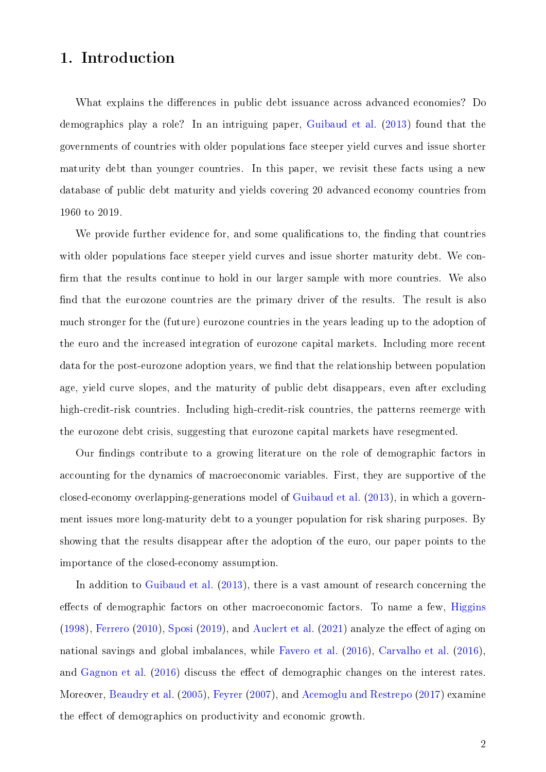## 1. Introduction

What explains the differences in public debt issuance across advanced economies? Do demographics play a role? In an intriguing paper, [Guibaud et al.](#page-14-0) [\(2013\)](#page-14-0) found that the governments of countries with older populations face steeper yield curves and issue shorter maturity debt than younger countries. In this paper, we revisit these facts using a new database of public debt maturity and yields covering 20 advanced economy countries from 1960 to 2019.

We provide further evidence for, and some qualifications to, the finding that countries with older populations face steeper yield curves and issue shorter maturity debt. We con firm that the results continue to hold in our larger sample with more countries. We also find that the eurozone countries are the primary driver of the results. The result is also much stronger for the (future) eurozone countries in the years leading up to the adoption of the euro and the increased integration of eurozone capital markets. Including more recent data for the post-eurozone adoption years, we find that the relationship between population age, yield curve slopes, and the maturity of public debt disappears, even after excluding high-credit-risk countries. Including high-credit-risk countries, the patterns reemerge with the eurozone debt crisis, suggesting that eurozone capital markets have resegmented.

Our findings contribute to a growing literature on the role of demographic factors in accounting for the dynamics of macroeconomic variables. First, they are supportive of the closed-economy overlapping-generations model of [Guibaud et al.](#page-14-0) [\(2013\)](#page-14-0), in which a government issues more long-maturity debt to a younger population for risk sharing purposes. By showing that the results disappear after the adoption of the euro, our paper points to the importance of the closed-economy assumption.

In addition to [Guibaud et al.](#page-14-0)  $(2013)$ , there is a vast amount of research concerning the effects of demographic factors on other macroeconomic factors. To name a few, [Higgins](#page-14-1) [\(1998\)](#page-14-1), [Ferrero](#page-14-2) [\(2010\)](#page-14-2), [Sposi](#page-14-3) [\(2019\)](#page-14-3), and [Auclert et al.](#page-14-4) [\(2021\)](#page-14-4) analyze the effect of aging on national savings and global imbalances, while [Favero et al.](#page-14-5) [\(2016\)](#page-14-5), [Carvalho et al.](#page-14-6) [\(2016\)](#page-14-6), and [Gagnon et al.](#page-14-7) [\(2016\)](#page-14-7) discuss the effect of demographic changes on the interest rates. Moreover, [Beaudry et al.](#page-14-8) [\(2005\)](#page-14-8), [Feyrer](#page-14-9) [\(2007\)](#page-14-9), and [Acemoglu and Restrepo](#page-14-10) [\(2017\)](#page-14-10) examine the effect of demographics on productivity and economic growth.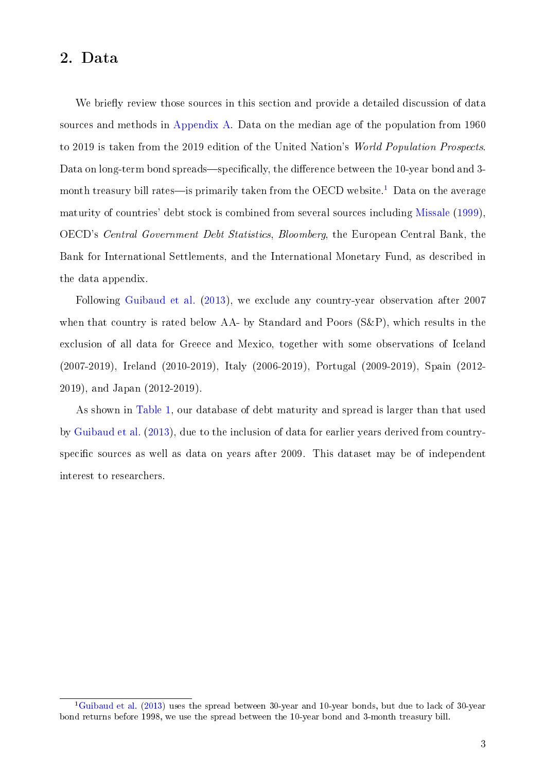## 2. Data

We briefly review those sources in this section and provide a detailed discussion of data sources and methods in [Appendix A.](#page--1-0) Data on the median age of the population from 1960 to 2019 is taken from the 2019 edition of the United Nation's World Population Prospects. Data on long-term bond spreads—specifically, the difference between the 10-year bond and 3-month treasury bill rates—is primarily taken from the OECD website.<sup>[1](#page--1-1)</sup> Data on the average maturity of countries' debt stock is combined from several sources including [Missale](#page-14-11) [\(1999\)](#page-14-11), OECD's Central Government Debt Statistics, Bloomberg, the European Central Bank, the Bank for International Settlements, and the International Monetary Fund, as described in the data appendix.

Following [Guibaud et al.](#page-14-0) [\(2013\)](#page-14-0), we exclude any country-year observation after 2007 when that country is rated below AA- by Standard and Poors (S&P), which results in the exclusion of all data for Greece and Mexico, together with some observations of Iceland (2007-2019), Ireland (2010-2019), Italy (2006-2019), Portugal (2009-2019), Spain (2012- 2019), and Japan (2012-2019).

As shown in [Table 1,](#page-2-0) our database of debt maturity and spread is larger than that used by [Guibaud et al.](#page-14-0) [\(2013\)](#page-14-0), due to the inclusion of data for earlier years derived from countryspecific sources as well as data on years after 2009. This dataset may be of independent interest to researchers.

<sup>&</sup>lt;sup>1</sup>[Guibaud et al.](#page-14-0) [\(2013\)](#page-14-0) uses the spread between 30-year and 10-year bonds, but due to lack of 30-year bond returns before 1998, we use the spread between the 10-year bond and 3-month treasury bill.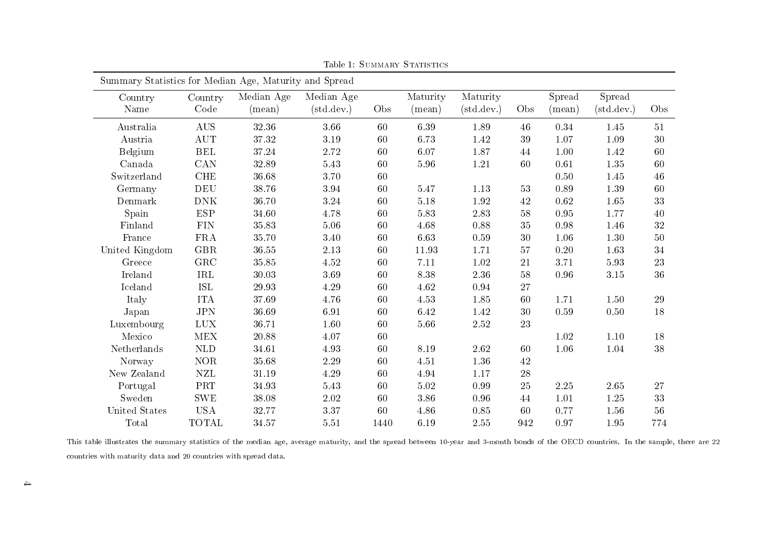| Summary Statistics for Median Age, Maturity and Spread |                      |                 |                     |      |          |                     |     |                 |                     |        |
|--------------------------------------------------------|----------------------|-----------------|---------------------|------|----------|---------------------|-----|-----------------|---------------------|--------|
| Country                                                | Country              | Median Age      | Median Age          |      | Maturity | Maturity            |     | Spread          | Spread              |        |
| Name                                                   | Code                 | $(\text{mean})$ | $(\text{std.dev.})$ | Obs  | (mean)   | $(\text{std.dev.})$ | Obs | $(\text{mean})$ | $(\text{std.dev.})$ | Obs    |
| Australia                                              | <b>AUS</b>           | 32 36           | 3.66                | 60   | 6.39     | 1.89                | 46  | 0.34            | 1.45                | 51     |
| Austria                                                | <b>AUT</b>           | 37.32           | 3.19                | 60   | 6.73     | 1.42                | 39  | 1.07            | 1.09                | 30     |
| Belgium                                                | $\operatorname{BEL}$ | 37.24           | 2.72                | 60   | 6.07     | 1.87                | 44  | 1.00            | 1.42                | 60     |
| Canada                                                 | CAN                  | 32.89           | $5.43\,$            | 60   | $5.96\,$ | 1.21                | 60  | 0.61            | 1.35                | 60     |
| Switzerland                                            | CHE                  | 36.68           | 3.70                | 60   |          |                     |     | 0.50            | 1.45                | 46     |
| Germany                                                | DEU                  | 38.76           | 3.94                | 60   | 5.47     | 1.13                | 53  | 0.89            | 1.39                | 60     |
| Denmark                                                | <b>DNK</b>           | 36.70           | 3.24                | 60   | $5.18$   | 1.92                | 42  | 0.62            | 1.65                | 33     |
| Spain                                                  | ESP                  | 34.60           | 4.78                | 60   | $5.83\,$ | 2.83                | 58  | 0.95            | 1.77                | 40     |
| Finland                                                | <b>FIN</b>           | 35.83           | $5.06$              | 60   | 4.68     | 0.88                | 35  | $0.98\,$        | 1.46                | $32\,$ |
| France                                                 | <b>FRA</b>           | 35.70           | 3.40                | 60   | $6.63\,$ | 0.59                | 30  | 1.06            | 1.30                | 50     |
| United Kingdom                                         | GBR                  | 36.55           | 2.13                | 60   | 11.93    | 1.71                | 57  | 0.20            | 163                 | 34     |
| Greece                                                 | GRC                  | 35.85           | 4.52                | 60   | 7.11     | 1.02                | 21  | 3.71            | 5.93                | 23     |
| Ireland                                                | $\operatorname{IRL}$ | 30.03           | 3.69                | 60   | 8.38     | 2.36                | 58  | $0.96\,$        | 3 15                | 36     |
| Iceland                                                | <b>ISL</b>           | 29.93           | 4.29                | 60   | 4.62     | 0.94                | 27  |                 |                     |        |
| Italy                                                  | <b>ITA</b>           | 37.69           | 4.76                | 60   | 4.53     | $1.85\,$            | 60  | 1.71            | 1.50                | 29     |
| Japan                                                  | <b>JPN</b>           | 36.69           | 6.91                | 60   | 6.42     | 1.42                | 30  | 0.59            | 0.50                | 18     |
| Luxembourg                                             | <b>LUX</b>           | 36.71           | 1.60                | 60   | 5.66     | $2.52\,$            | 23  |                 |                     |        |
| Mexico                                                 | <b>MEX</b>           | 20.88           | 4.07                | 60   |          |                     |     | 1.02            | 1.10                | $18\,$ |
| Netherlands                                            | $\mbox{NLD}$         | 34.61           | 4.93                | 60   | $8.19\,$ | 2.62                | 60  | 1.06            | 1.04                | 38     |
| Norway                                                 | <b>NOR</b>           | 35.68           | 2.29                | 60   | 4.51     | 1.36                | 42  |                 |                     |        |
| New Zealand                                            | <b>NZL</b>           | 31.19           | 4.29                | 60   | 4.94     | 1.17                | 28  |                 |                     |        |
| Portugal                                               | PRT                  | 34.93           | 5 43                | 60   | 5.02     | 0.99                | 25  | 2.25            | 2.65                | 27     |
| Sweden                                                 | ${\rm SWE}$          | 38.08           | 2.02                | 60   | 3.86     | 0.96                | 44  | 1.01            | 125                 | 33     |
| United States                                          | <b>USA</b>           | 32.77           | 3.37                | 60   | 4.86     | 0.85                | 60  | 0.77            | 1.56                | $56\,$ |
| Total                                                  | <b>TOTAL</b>         | 34.57           | 5.51                | 1440 | 6.19     | 2.55                | 942 | 0.97            | 1.95                | 774    |

Table 1: SUMMARY STATISTICS

<span id="page-2-0"></span>This table illustrates the summary statistics of the median age, average maturity, and the spread between 10-year and 3-month bonds of the OECD countries. In the sample, there are 22countries with maturity data and 20 countries with spread data.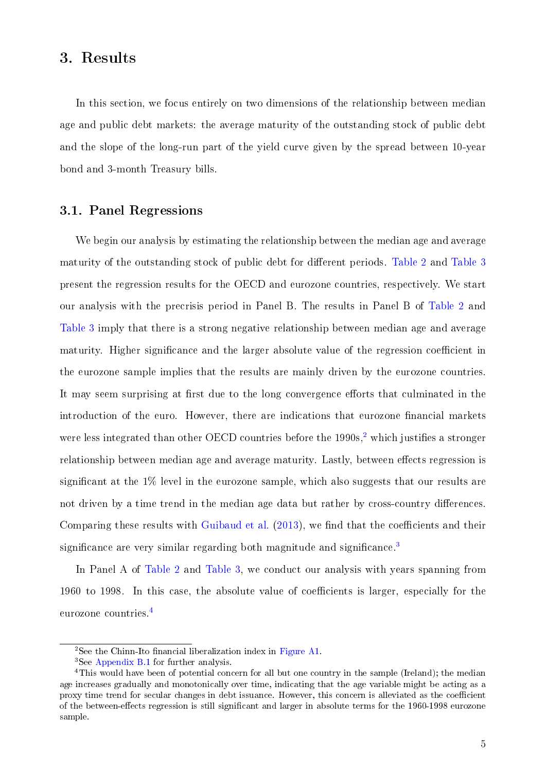## 3. Results

In this section, we focus entirely on two dimensions of the relationship between median age and public debt markets: the average maturity of the outstanding stock of public debt and the slope of the long-run part of the yield curve given by the spread between 10-year bond and 3-month Treasury bills.

#### 3.1. Panel Regressions

We begin our analysis by estimating the relationship between the median age and average maturity of the outstanding stock of public debt for different periods. [Table 2](#page-5-0) and [Table 3](#page-6-0) present the regression results for the OECD and eurozone countries, respectively. We start our analysis with the precrisis period in Panel B. The results in Panel B of [Table 2](#page-5-0) and [Table 3](#page-6-0) imply that there is a strong negative relationship between median age and average maturity. Higher significance and the larger absolute value of the regression coefficient in the eurozone sample implies that the results are mainly driven by the eurozone countries. It may seem surprising at first due to the long convergence efforts that culminated in the introduction of the euro. However, there are indications that eurozone financial markets were less integrated than other OECD countries before the  $1990s$ ,<sup>[2](#page--1-1)</sup> which justifies a stronger relationship between median age and average maturity. Lastly, between effects regression is significant at the  $1\%$  level in the eurozone sample, which also suggests that our results are not driven by a time trend in the median age data but rather by cross-country differences. Comparing these results with [Guibaud et al.](#page-14-0)  $(2013)$ , we find that the coefficients and their significance are very similar regarding both magnitude and significance.<sup>[3](#page--1-1)</sup>

In Panel A of [Table 2](#page-5-0) and [Table 3,](#page-6-0) we conduct our analysis with years spanning from 1960 to 1998. In this case, the absolute value of coefficients is larger, especially for the eurozone countries.[4](#page--1-1)

<sup>&</sup>lt;sup>2</sup>See the Chinn-Ito financial liberalization index in [Figure A1.](#page--1-2)

<sup>3</sup>See [Appendix B.1](#page--1-3) for further analysis.

<sup>&</sup>lt;sup>4</sup>This would have been of potential concern for all but one country in the sample (Ireland); the median age increases gradually and monotonically over time, indicating that the age variable might be acting as a proxy time trend for secular changes in debt issuance. However, this concern is alleviated as the coefficient of the between-effects regression is still significant and larger in absolute terms for the 1960-1998 eurozone sample.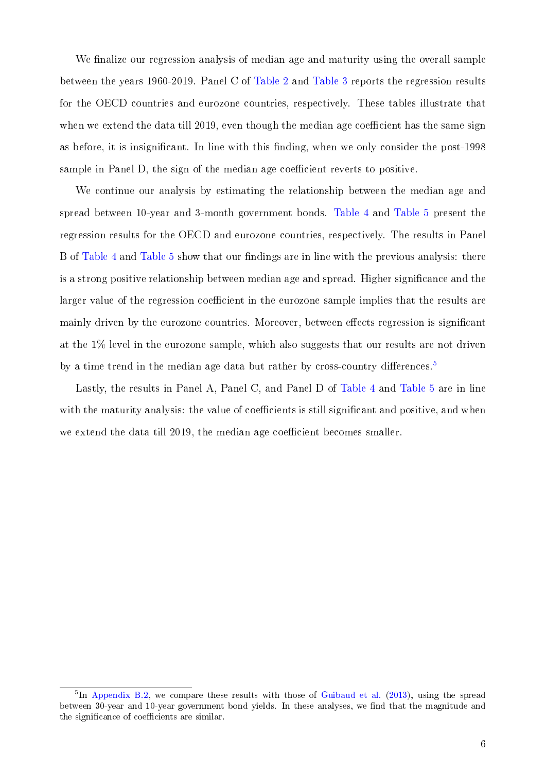We finalize our regression analysis of median age and maturity using the overall sample between the years 1960-2019. Panel C of [Table 2](#page-5-0) and [Table 3](#page-6-0) reports the regression results for the OECD countries and eurozone countries, respectively. These tables illustrate that when we extend the data till 2019, even though the median age coefficient has the same sign as before, it is insignificant. In line with this finding, when we only consider the post-1998 sample in Panel D, the sign of the median age coefficient reverts to positive.

We continue our analysis by estimating the relationship between the median age and spread between 10-year and 3-month government bonds. [Table 4](#page-7-0) and [Table 5](#page-8-0) present the regression results for the OECD and eurozone countries, respectively. The results in Panel B of [Table 4](#page-7-0) and [Table 5](#page-8-0) show that our findings are in line with the previous analysis: there is a strong positive relationship between median age and spread. Higher signicance and the larger value of the regression coefficient in the eurozone sample implies that the results are mainly driven by the eurozone countries. Moreover, between effects regression is significant at the 1% level in the eurozone sample, which also suggests that our results are not driven by a time trend in the median age data but rather by cross-country differences.<sup>[5](#page--1-1)</sup>

Lastly, the results in Panel A, Panel C, and Panel D of [Table 4](#page-7-0) and [Table 5](#page-8-0) are in line with the maturity analysis: the value of coefficients is still significant and positive, and when we extend the data till  $2019$ , the median age coefficient becomes smaller.

<sup>&</sup>lt;sup>5</sup>In [Appendix B.2,](#page--1-4) we compare these results with those of [Guibaud et al.](#page-14-0) [\(2013\)](#page-14-0), using the spread between 30-year and 10-year government bond yields. In these analyses, we find that the magnitude and the significance of coefficients are similar.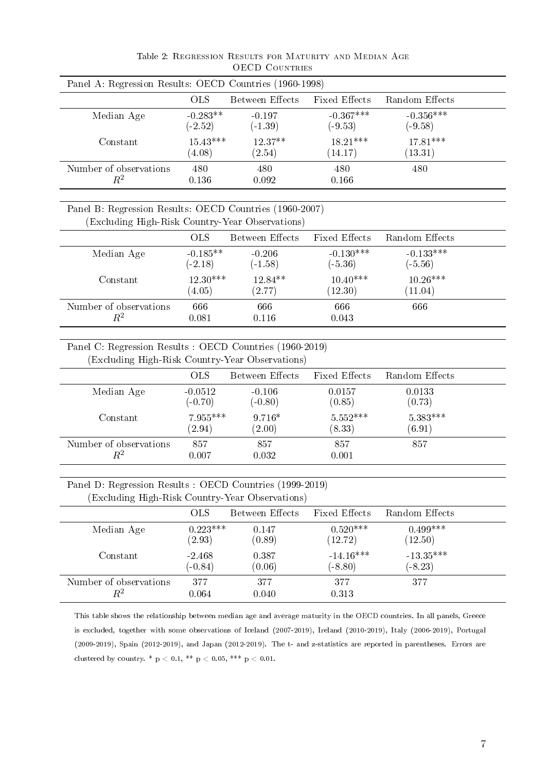<span id="page-5-0"></span>

| Panel A: Regression Results: OECD Countries (1960-1998)                                                     |                         |                        |                          |                          |  |
|-------------------------------------------------------------------------------------------------------------|-------------------------|------------------------|--------------------------|--------------------------|--|
|                                                                                                             | <b>OLS</b>              | Between Effects        | Fixed Effects            | Random Effects           |  |
| Median Age                                                                                                  | $-0.283**$<br>$(-2.52)$ | $-0.197$<br>$(-1.39)$  | $-0.367***$<br>$(-9.53)$ | $-0.356***$<br>$(-9.58)$ |  |
| Constant                                                                                                    | $15.43***$<br>(4.08)    | $12.37**$<br>(2.54)    | $18.21***$<br>(14.17)    | $17.81***$<br>(13.31)    |  |
| Number of observations<br>$R^2$                                                                             | 480<br>0.136            | 480<br>0.092           | 480<br>0.166             | 480                      |  |
| Panel B: Regression Results: OECD Countries (1960-2007)<br>(Excluding High-Risk Country-Year Observations)  |                         |                        |                          |                          |  |
|                                                                                                             | <b>OLS</b>              | <b>Between Effects</b> | Fixed Effects            | Random Effects           |  |
| Median Age                                                                                                  | $-0.185**$<br>$(-2.18)$ | $-0.206$<br>$(-1.58)$  | $-0.130***$<br>$(-5.36)$ | $-0.133***$<br>$(-5.56)$ |  |
| Constant                                                                                                    | $12.30***$<br>(4.05)    | 12.84**<br>(2.77)      | $10.40***$<br>(12.30)    | $10.26***$<br>(11.04)    |  |
| Number of observations<br>$R^2$                                                                             | 666<br>0.081            | 666<br>0.116           | 666<br>0.043             | 666                      |  |
| Panel C: Regression Results : OECD Countries (1960-2019)<br>(Excluding High-Risk Country-Year Observations) |                         |                        |                          |                          |  |
|                                                                                                             | <b>OLS</b>              | Between Effects        | Fixed Effects            | Random Effects           |  |
| Median Age                                                                                                  | $-0.0512$<br>$(-0.70)$  | $-0.106$<br>$(-0.80)$  | 0.0157<br>(0.85)         | 0.0133<br>(0.73)         |  |
| Constant                                                                                                    | 7.955 ***<br>(2.94)     | $9.716*$<br>(2.00)     | $5.552***$<br>(8.33)     | $5.383***$<br>(6.91)     |  |
| Number of observations<br>$\,R^2$                                                                           | 857<br>0.007            | 857<br>0.032           | 857<br>0.001             | 857                      |  |

Table 2: Regression Results for Maturity and Median Age OECD Countries

Panel D: Regression Results : OECD Countries (1999-2019)

 $R^2$  0.007 0.032 0.001

|  |  |  | (Excluding High-Risk Country-Year Observations) |  |  |
|--|--|--|-------------------------------------------------|--|--|
|--|--|--|-------------------------------------------------|--|--|

|                        | <b>OLS</b> | Between Effects | Fixed Effects | Random Effects |
|------------------------|------------|-----------------|---------------|----------------|
| Median Age             | $0.223***$ | 0.147           | $0.520***$    | $0.499***$     |
|                        | (2.93)     | (0.89)          | (12.72)       | (12.50)        |
| Constant               | $-2.468$   | 0.387           | $-14.16***$   | $-13.35***$    |
|                        | $(-0.84)$  | (0.06)          | $(-8.80)$     | $(-8.23)$      |
| Number of observations | 377        | 377             | 377           | 377            |
| $\,R^2$                | 0.064      | $0.040\,$       | 0.313         |                |

This table shows the relationship between median age and average maturity in the OECD countries. In all panels, Greece is excluded, together with some observations of Iceland (2007-2019), Ireland (2010-2019), Italy (2006-2019), Portugal (2009-2019), Spain (2012-2019), and Japan (2012-2019). The t- and z-statistics are reported in parentheses. Errors are clustered by country. \*  $p < 0.1$ , \*\*  $p < 0.05$ , \*\*\*  $p < 0.01$ .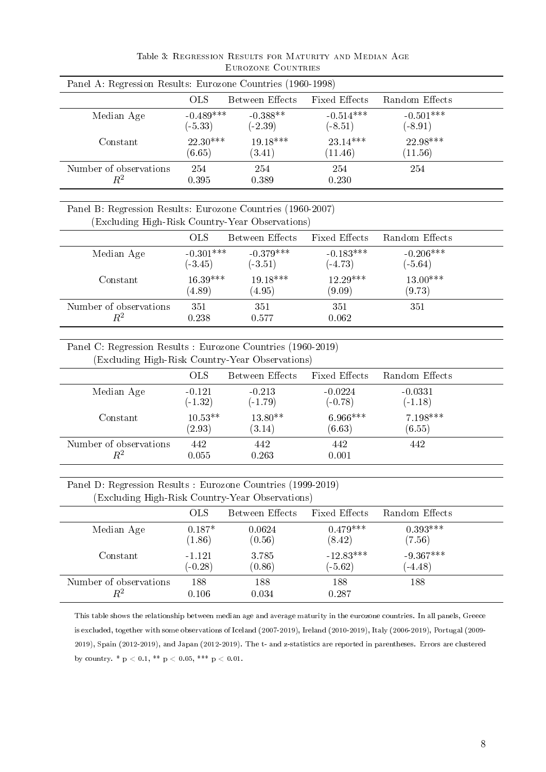<span id="page-6-0"></span>

| Panel A: Regression Results: Eurozone Countries (1960-1998) |                          |                         |                          |                          |  |  |
|-------------------------------------------------------------|--------------------------|-------------------------|--------------------------|--------------------------|--|--|
|                                                             | <b>OLS</b>               | Between Effects         | Fixed Effects            | Random Effects           |  |  |
| Median Age                                                  | $-0.489***$<br>$(-5.33)$ | $-0.388**$<br>$(-2.39)$ | $-0.514***$<br>$(-8.51)$ | $-0.501***$<br>$(-8.91)$ |  |  |
| Constant                                                    | $22.30***$<br>(6.65)     | $19.18***$<br>(3.41)    | $23.14***$<br>(11.46)    | $22.98***$<br>(11.56)    |  |  |
| Number of observations<br>$\,R^2$                           | 254<br>0.395             | 254<br>0.389            | 254<br>0.230             | 254                      |  |  |

Table 3: Regression Results for Maturity and Median Age Eurozone Countries

#### Panel B: Regression Results: Eurozone Countries (1960-2007) (Excluding High-Risk Country-Year Observations)

|                                   | <b>OLS</b>               | Between Effects          | Fixed Effects            | Random Effects           |  |
|-----------------------------------|--------------------------|--------------------------|--------------------------|--------------------------|--|
| Median Age                        | $-0.301***$<br>$(-3.45)$ | $-0.379***$<br>$(-3.51)$ | $-0.183***$<br>$(-4.73)$ | $-0.206***$<br>$(-5.64)$ |  |
| Constant                          | $16.39***$<br>(4.89)     | $19.18***$<br>(4.95)     | $12.29***$<br>(9.09)     | $13.00***$<br>(9.73)     |  |
| Number of observations<br>$\,R^2$ | 351<br>0.238             | 351<br>0.577             | 351<br>0.062             | 351                      |  |

Panel C: Regression Results : Eurozone Countries (1960-2019) (Excluding High-Risk Country-Year Observations)

|                        | <b>OLS</b> | Between Effects | <b>Fixed Effects</b> | Random Effects |  |  |
|------------------------|------------|-----------------|----------------------|----------------|--|--|
| Median Age             | $-0.121$   | $-0.213$        | $-0.0224$            | $-0.0331$      |  |  |
|                        | $(-1.32)$  | $(-1.79)$       | $(-0.78)$            | $(-1.18)$      |  |  |
| Constant               | $10.53**$  | $13.80**$       | $6.966***$           | 7.198***       |  |  |
|                        | (2.93)     | (3.14)          | (6.63)               | (6.55)         |  |  |
| Number of observations | 442        | 442             | 442                  | 442            |  |  |
| $\,R^2$                | 0.055      | 0.263           | 0.001                |                |  |  |

Panel D: Regression Results : Eurozone Countries (1999-2019) (Excluding High-Risk Country-Year Observations)

|                        | OLS       | Between Effects | Fixed Effects | Random Effects |  |  |  |
|------------------------|-----------|-----------------|---------------|----------------|--|--|--|
| Median Age             | $0.187*$  | 0.0624          | $0.479***$    | $0.393***$     |  |  |  |
|                        | (1.86)    | (0.56)          | (8.42)        | (7.56)         |  |  |  |
| Constant               | $-1121$   | 3.785           | $-12.83***$   | $-9.367***$    |  |  |  |
|                        | $(-0.28)$ | (0.86)          | $(-5.62)$     | $(-4.48)$      |  |  |  |
| Number of observations | 188       | 188             | 188           | 188            |  |  |  |
| $\,R^2$                | 0.106     | 0.034           | 0.287         |                |  |  |  |

This table shows the relationship between median age and average maturity in the eurozone countries. In all panels, Greece is excluded, together with some observations of Iceland (2007-2019), Ireland (2010-2019), Italy (2006-2019), Portugal (2009- 2019), Spain (2012-2019), and Japan (2012-2019). The t- and z-statistics are reported in parentheses. Errors are clustered by country. \*  $p < 0.1$ , \*\*  $p < 0.05$ , \*\*\*  $p < 0.01$ .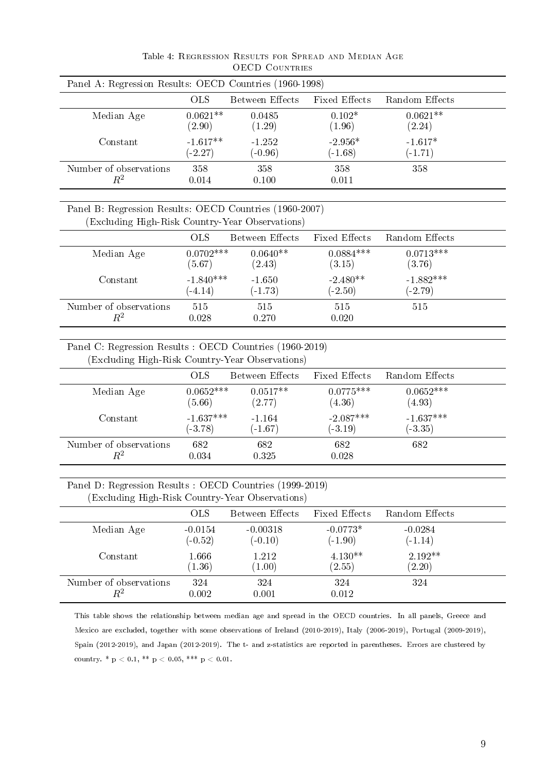<span id="page-7-0"></span>

|                                                                                                             |             | Panel A: Regression Results: OECD Countries (1960-1998) |                      |                |
|-------------------------------------------------------------------------------------------------------------|-------------|---------------------------------------------------------|----------------------|----------------|
|                                                                                                             | <b>OLS</b>  | Between Effects                                         | <b>Fixed Effects</b> | Random Effects |
| Median Age                                                                                                  | $0.0621**$  | 0.0485                                                  | $0.102*$             | $0.0621**$     |
|                                                                                                             | (2.90)      | (1.29)                                                  | (1.96)               | (2.24)         |
| Constant                                                                                                    | $-1.617**$  | $-1.252$                                                | $-2.956*$            | $-1.617*$      |
|                                                                                                             | $(-2.27)$   | $(-0.96)$                                               | $(-1.68)$            | $(-1.71)$      |
| Number of observations                                                                                      | 358         | 358                                                     | 358                  | 358            |
| $R^2$                                                                                                       | 0.014       | 0.100                                                   | 0.011                |                |
| Panel B: Regression Results: OECD Countries (1960-2007)<br>(Excluding High-Risk Country-Year Observations)  |             |                                                         |                      |                |
| Median Age                                                                                                  | <b>OLS</b>  | <b>Between Effects</b>                                  | Fixed Effects        | Random Effects |
|                                                                                                             | $0.0702***$ | $0.0640**$                                              | $0.0884***$          | $0.0713***$    |
| Constant                                                                                                    | (5.67)      | (2.43)                                                  | (3.15)               | (3.76)         |
|                                                                                                             | $-1.840***$ | $-1.650$                                                | $-2.480**$           | $-1.882***$    |
|                                                                                                             | $(-4.14)$   | $(-1.73)$                                               | $(-2.50)$            | $(-2.79)$      |
| Number of observations                                                                                      | 515         | 515                                                     | 515                  | 515            |
| $R^2$                                                                                                       | 0.028       | 0.270                                                   | 0.020                |                |
| Panel C: Regression Results : OECD Countries (1960-2019)<br>(Excluding High-Risk Country-Year Observations) | <b>OLS</b>  | Between Effects                                         | Fixed Effects        | Random Effects |
| Median Age                                                                                                  | $0.0652***$ | $0.0517**$                                              | $0.0775***$          | $0.0652***$    |
|                                                                                                             | (5.66)      | (2.77)                                                  | (4.36)               | (4.93)         |
| Constant                                                                                                    | $-1.637***$ | $-1.164$                                                | $-2.087***$          | $-1.637***$    |
|                                                                                                             | $(-3.78)$   | $(-1.67)$                                               | $(-3.19)$            | $(-3.35)$      |
| Number of observations                                                                                      | 682         | 682                                                     | 682<br>0.028         | 682            |

Table 4: Regression Results for Spread and Median Age OECD COUNTRIES

|                        | OLS.      | Between Effects | <b>Fixed Effects</b> | Random Effects |
|------------------------|-----------|-----------------|----------------------|----------------|
| Median Age             | $-0.0154$ | $-0.00318$      | $-0.0773*$           | $-0.0284$      |
|                        | $(-0.52)$ | $(-0.10)$       | $(-1.90)$            | $(-1.14)$      |
| Constant               | 1.666     | 1.212           | $4.130**$            | 2.192**        |
|                        | (1.36)    | (1.00)          | (2.55)               | (2.20)         |
| Number of observations | 324       | 324             | 324                  | 324            |
| $\,R^2$                | 0.002     | 0.001           | 0.012                |                |

This table shows the relationship between median age and spread in the OECD countries. In all panels, Greece and Mexico are excluded, together with some observations of Ireland (2010-2019), Italy (2006-2019), Portugal (2009-2019), Spain (2012-2019), and Japan (2012-2019). The t- and z-statistics are reported in parentheses. Errors are clustered by country. \*  $p < 0.1$ , \*\*  $p < 0.05$ , \*\*\*  $p < 0.01$ .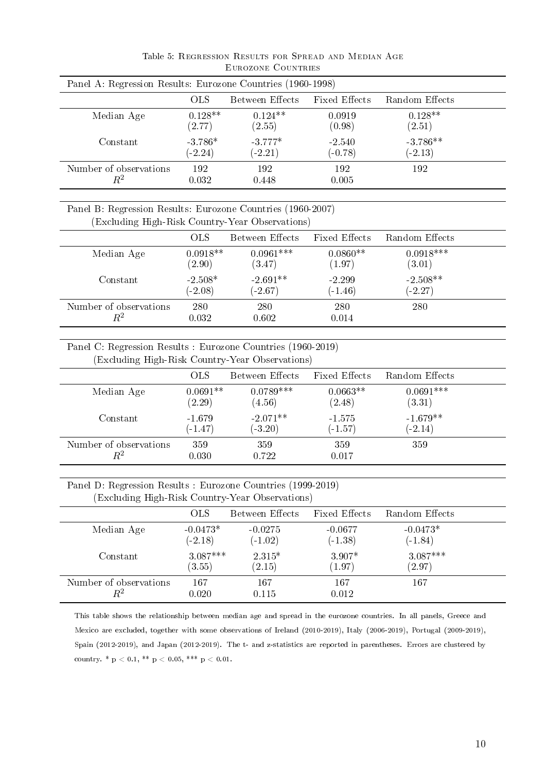<span id="page-8-0"></span>

| Panel A: Regression Results: Eurozone Countries (1960-1998) |                        |                        |                       |                         |  |  |
|-------------------------------------------------------------|------------------------|------------------------|-----------------------|-------------------------|--|--|
|                                                             | OLS.                   | Between Effects        | <b>Fixed Effects</b>  | Random Effects          |  |  |
| Median Age                                                  | $0.128**$<br>(2.77)    | $0.124**$<br>(2.55)    | 0.0919<br>(0.98)      | $0.128**$<br>(2.51)     |  |  |
| Constant                                                    | $-3.786*$<br>$(-2.24)$ | $-3.777*$<br>$(-2.21)$ | $-2.540$<br>$(-0.78)$ | $-3.786**$<br>$(-2.13)$ |  |  |
| Number of observations<br>$\,R^2$                           | 192<br>0.032           | 192<br>0.448           | 192<br>0.005          | 192                     |  |  |

Table 5: Regression Results for Spread and Median Age Eurozone Countries

#### Panel B: Regression Results: Eurozone Countries (1960-2007) (Excluding High-Risk Country-Year Observations)

|                                   | OLS.                   | Between Effects         | Fixed Effects         | Random Effects          |  |
|-----------------------------------|------------------------|-------------------------|-----------------------|-------------------------|--|
| Median Age                        | $0.0918**$<br>(2.90)   | $0.0961***$<br>(3.47)   | $0.0860**$<br>(1.97)  | $0.0918***$<br>(3.01)   |  |
| Constant                          | $-2.508*$<br>$(-2.08)$ | $-2.691**$<br>$(-2.67)$ | $-2.299$<br>$(-1.46)$ | $-2.508**$<br>$(-2.27)$ |  |
| Number of observations<br>$\,R^2$ | 280<br>0.032           | 280<br>0.602            | 280<br>0.014          | 280                     |  |

Panel C: Regression Results : Eurozone Countries (1960-2019) (Excluding High-Risk Country-Year Observations)

| $\cdot$<br>$\cdot$                |                       |                         |                       |                         |  |
|-----------------------------------|-----------------------|-------------------------|-----------------------|-------------------------|--|
|                                   | <b>OLS</b>            | Between Effects         | Fixed Effects         | Random Effects          |  |
| Median Age                        | $0.0691**$<br>(2.29)  | $0.0789***$<br>(4.56)   | $0.0663**$<br>(2.48)  | $0.0691***$<br>(3.31)   |  |
| Constant                          | $-1.679$<br>$(-1.47)$ | $-2.071**$<br>$(-3.20)$ | $-1.575$<br>$(-1.57)$ | $-1.679**$<br>$(-2.14)$ |  |
| Number of observations<br>$\,R^2$ | 359<br>0.030          | 359<br>0.722            | 359<br>0.017          | 359                     |  |

Panel D: Regression Results : Eurozone Countries (1999-2019) (Excluding High-Risk Country-Year Observations)

|                        | OLS.       | Between Effects | <b>Fixed Effects</b> | Random Effects       |  |  |  |
|------------------------|------------|-----------------|----------------------|----------------------|--|--|--|
| Median Age             | $-0.0473*$ | $-0.0275$       | $-0.0677$            | $-0.0473*$           |  |  |  |
|                        | $(-2.18)$  | $(-1.02)$       | $(-1.38)$            | $(-1.84)$            |  |  |  |
| Constant               | $3.087***$ | $2.315*$        | 3.907*               | $3.087***$           |  |  |  |
|                        | (3.55)     | (2.15)          | (1.97)               | $\left( 2.97\right)$ |  |  |  |
| Number of observations | 167        | 167             | 167                  | 167                  |  |  |  |
| $\,R^2$                | 0.020      | $0.115\,$       | 0.012                |                      |  |  |  |

This table shows the relationship between median age and spread in the eurozone countries. In all panels, Greece and Mexico are excluded, together with some observations of Ireland (2010-2019), Italy (2006-2019), Portugal (2009-2019), Spain (2012-2019), and Japan (2012-2019). The t- and z-statistics are reported in parentheses. Errors are clustered by country. \*  $p < 0.1$ , \*\*  $p < 0.05$ , \*\*\*  $p < 0.01$ .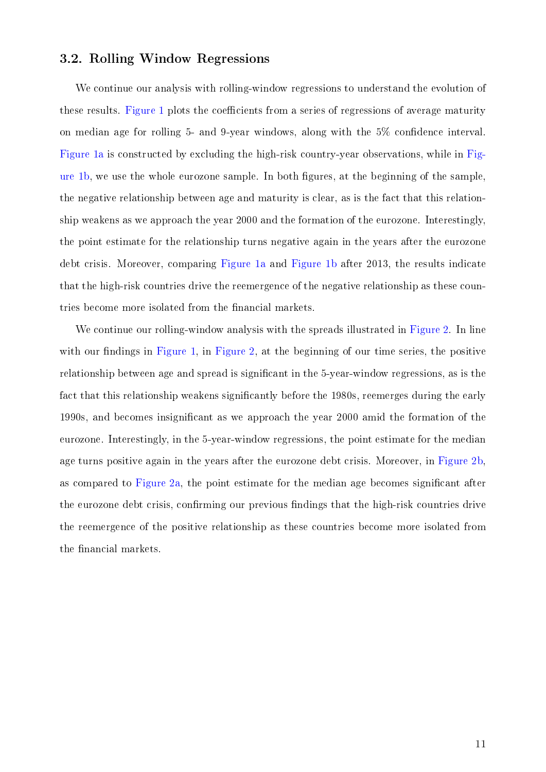#### 3.2. Rolling Window Regressions

We continue our analysis with rolling-window regressions to understand the evolution of these results. [Figure 1](#page-10-0) plots the coefficients from a series of regressions of average maturity on median age for rolling 5- and 9-year windows, along with the  $5\%$  confidence interval. [Figure 1a](#page-10-0) is constructed by excluding the high-risk country-year observations, while in [Fig](#page-10-0)[ure 1b,](#page-10-0) we use the whole eurozone sample. In both figures, at the beginning of the sample, the negative relationship between age and maturity is clear, as is the fact that this relationship weakens as we approach the year 2000 and the formation of the eurozone. Interestingly, the point estimate for the relationship turns negative again in the years after the eurozone debt crisis. Moreover, comparing [Figure 1a](#page-10-0) and [Figure 1b](#page-10-0) after 2013, the results indicate that the high-risk countries drive the reemergence of the negative relationship as these countries become more isolated from the financial markets.

We continue our rolling-window analysis with the spreads illustrated in [Figure 2.](#page-11-0) In line with our findings in [Figure 1,](#page-10-0) in [Figure 2,](#page-11-0) at the beginning of our time series, the positive relationship between age and spread is significant in the 5-year-window regressions, as is the fact that this relationship weakens significantly before the 1980s, reemerges during the early 1990s, and becomes insignicant as we approach the year 2000 amid the formation of the eurozone. Interestingly, in the 5-year-window regressions, the point estimate for the median age turns positive again in the years after the eurozone debt crisis. Moreover, in [Figure 2b,](#page-11-0) as compared to [Figure 2a,](#page-11-0) the point estimate for the median age becomes signicant after the eurozone debt crisis, confirming our previous findings that the high-risk countries drive the reemergence of the positive relationship as these countries become more isolated from the financial markets.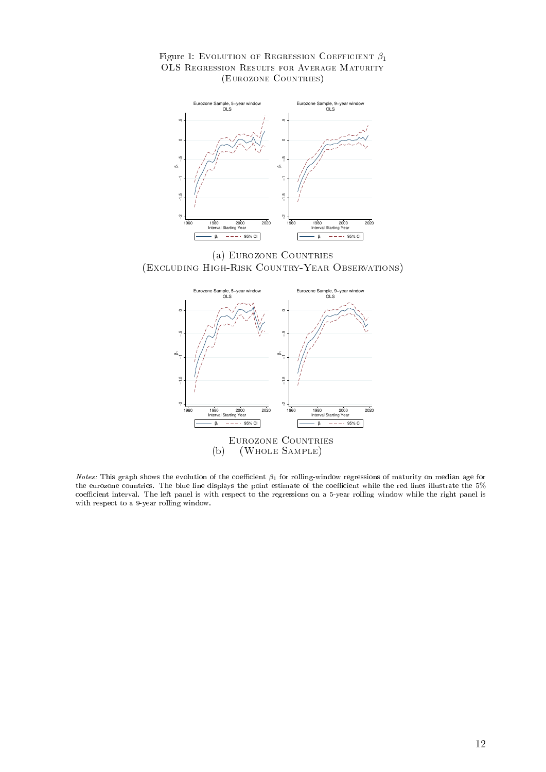<span id="page-10-0"></span>



(a) Eurozone Countries (Excluding High-Risk Country-Year Observations)



Notes: This graph shows the evolution of the coefficient  $\beta_1$  for rolling-window regressions of maturity on median age for the eurozone countries. The blue line displays the point estimate of the coefficient while the red lines illustrate the 5% coefficient interval. The left panel is with respect to the regressions on a 5-year rolling window while the right panel is with respect to a 9-year rolling window.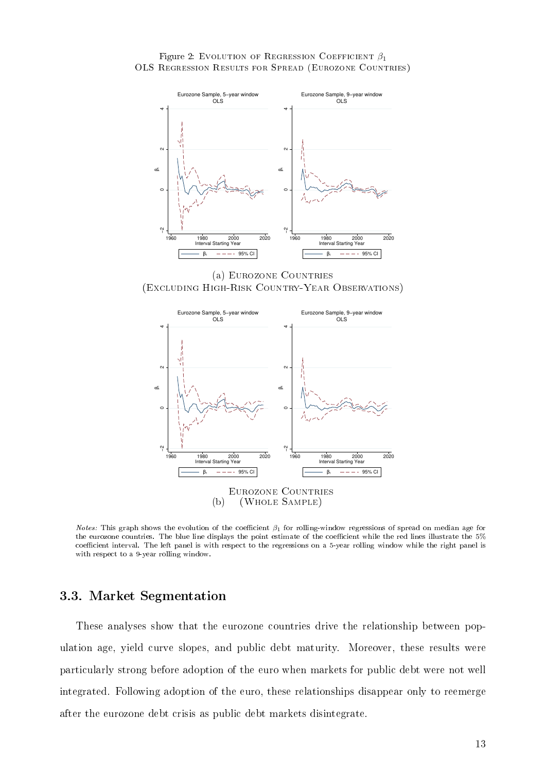<span id="page-11-0"></span>



(a) Eurozone Countries (Excluding High-Risk Country-Year Observations)



*Notes:* This graph shows the evolution of the coefficient  $\beta_1$  for rolling-window regressions of spread on median age for the eurozone countries. The blue line displays the point estimate of the coefficient while the red lines illustrate the 5% coefficient interval. The left panel is with respect to the regressions on a 5-year rolling window while the right panel is with respect to a 9-year rolling window.

#### 3.3. Market Segmentation

These analyses show that the eurozone countries drive the relationship between population age, yield curve slopes, and public debt maturity. Moreover, these results were particularly strong before adoption of the euro when markets for public debt were not well integrated. Following adoption of the euro, these relationships disappear only to reemerge after the eurozone debt crisis as public debt markets disintegrate.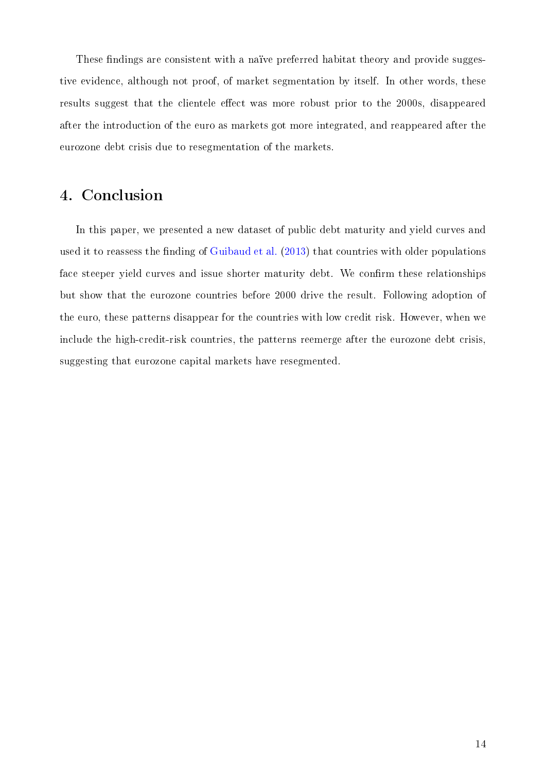These findings are consistent with a naïve preferred habitat theory and provide suggestive evidence, although not proof, of market segmentation by itself. In other words, these results suggest that the clientele effect was more robust prior to the 2000s, disappeared after the introduction of the euro as markets got more integrated, and reappeared after the eurozone debt crisis due to resegmentation of the markets.

# 4. Conclusion

In this paper, we presented a new dataset of public debt maturity and yield curves and used it to reassess the finding of [Guibaud et al.](#page-14-0) [\(2013\)](#page-14-0) that countries with older populations face steeper yield curves and issue shorter maturity debt. We confirm these relationships but show that the eurozone countries before 2000 drive the result. Following adoption of the euro, these patterns disappear for the countries with low credit risk. However, when we include the high-credit-risk countries, the patterns reemerge after the eurozone debt crisis, suggesting that eurozone capital markets have resegmented.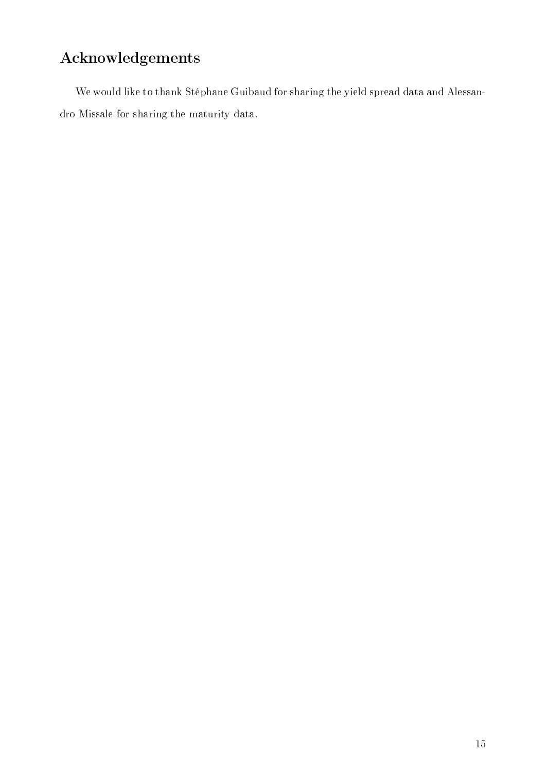# Acknowledgements

We would like to thank Stéphane Guibaud for sharing the yield spread data and Alessandro Missale for sharing the maturity data.